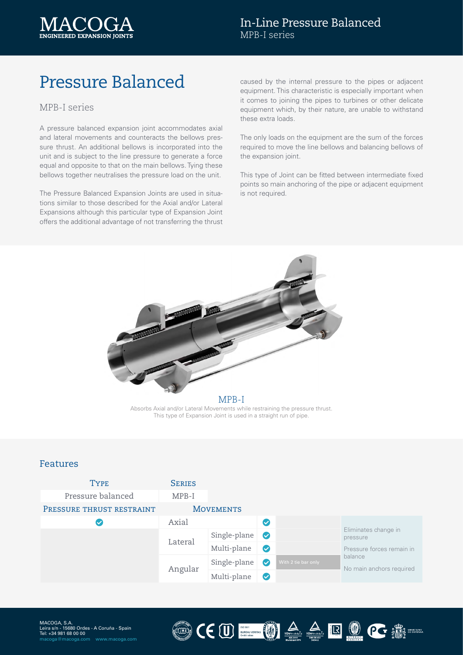

# Pressure Balanced

#### MPB-I series

A pressure balanced expansion joint accommodates axial and lateral movements and counteracts the bellows pressure thrust. An additional bellows is incorporated into the unit and is subject to the line pressure to generate a force equal and opposite to that on the main bellows. Tying these bellows together neutralises the pressure load on the unit.

The Pressure Balanced Expansion Joints are used in situations similar to those described for the Axial and/or Lateral Expansions although this particular type of Expansion Joint offers the additional advantage of not transferring the thrust

caused by the internal pressure to the pipes or adjacent equipment. This characteristic is especially important when it comes to joining the pipes to turbines or other delicate equipment which, by their nature, are unable to withstand these extra loads.

The only loads on the equipment are the sum of the forces required to move the line bellows and balancing bellows of the expansion joint.

This type of Joint can be fitted between intermediate fixed points so main anchoring of the pipe or adjacent equipment is not required.



Absorbs Axial and/or Lateral Movements while restraining the pressure thrust. This type of Expansion Joint is used in a straight run of pipe.

#### Features

| <b>TYPE</b>               | <b>SERIES</b> |                      |           |                     |                                                                                                      |
|---------------------------|---------------|----------------------|-----------|---------------------|------------------------------------------------------------------------------------------------------|
| Pressure balanced         | MPB-I         |                      |           |                     |                                                                                                      |
| PRESSURE THRUST RESTRAINT |               | <b>MOVEMENTS</b>     |           |                     |                                                                                                      |
|                           | Axial         | $\blacktriangledown$ |           |                     |                                                                                                      |
|                           | Lateral       | Single-plane         | $\bullet$ |                     | Eliminates change in<br>pressure<br>Pressure forces remain in<br>balance<br>No main anchors required |
|                           |               | Multi-plane          | Ø         |                     |                                                                                                      |
|                           | Angular       | Single-plane         | $\bullet$ | With 2 tie bar only |                                                                                                      |
|                           |               | Multi-plane          | $\bullet$ |                     |                                                                                                      |

LUM)

CEU MARIE ROCE